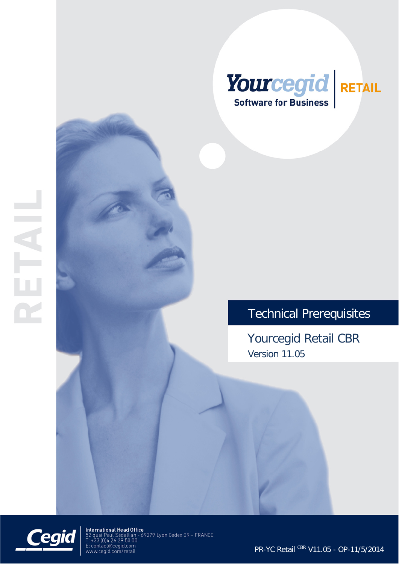

# Technical Prerequisites

Yourcegid Retail CBR Version 11.05



International Head Office<br>52 quai Paul Sédallian - 69279 Lyon Cedex 09 – FRANCE<br>T: +33 (0)4 26 29 50 00 E: contact@cegid.com<br>www.cegid.com/retail

PR-YC Retail CBR V11.05 - OP-11/5/2014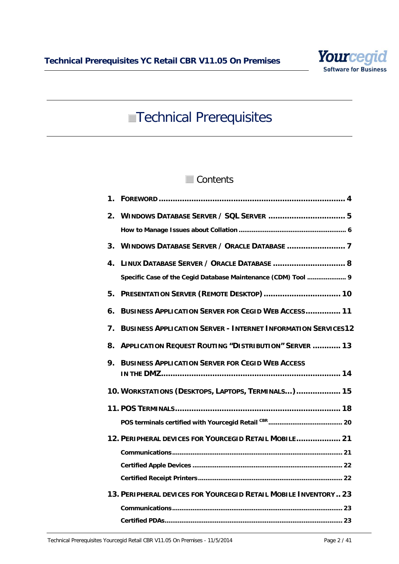

# **Technical Prerequisites**

# Contents

| 1. |                                                                      |
|----|----------------------------------------------------------------------|
| 2. |                                                                      |
|    |                                                                      |
| 3. |                                                                      |
| 4. | LINUX DATABASE SERVER / ORACLE DATABASE  8                           |
|    | Specific Case of the Cegid Database Maintenance (CDM) Tool  9        |
| 5. | PRESENTATION SERVER (REMOTE DESKTOP)  10                             |
| 6. | <b>BUSINESS APPLICATION SERVER FOR CEGID WEB ACCESS 11</b>           |
| 7. | <b>BUSINESS APPLICATION SERVER - INTERNET INFORMATION SERVICES12</b> |
| 8. | <b>APPLICATION REQUEST ROUTING "DISTRIBUTION" SERVER  13</b>         |
| 9. | <b>BUSINESS APPLICATION SERVER FOR CEGID WEB ACCESS</b>              |
|    | 10. WORKSTATIONS (DESKTOPS, LAPTOPS, TERMINALS) 15                   |
|    |                                                                      |
|    |                                                                      |
|    | 12. PERIPHERAL DEVICES FOR YOURCEGID RETAIL MOBILE 21                |
|    |                                                                      |
|    |                                                                      |
|    |                                                                      |
|    | 13. PERIPHERAL DEVICES FOR YOURCEGID RETAIL MOBILE INVENTORY 23      |
|    |                                                                      |
|    |                                                                      |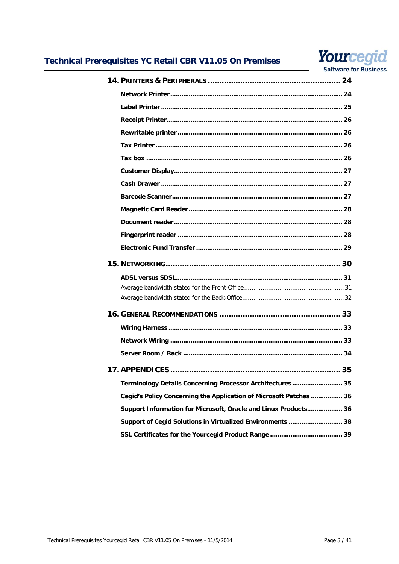

#### **Software for Business**

| Terminology Details Concerning Processor Architectures  35         |  |
|--------------------------------------------------------------------|--|
| Cegid's Policy Concerning the Application of Microsoft Patches  36 |  |
| Support Information for Microsoft, Oracle and Linux Products 36    |  |
| Support of Cegid Solutions in Virtualized Environments  38         |  |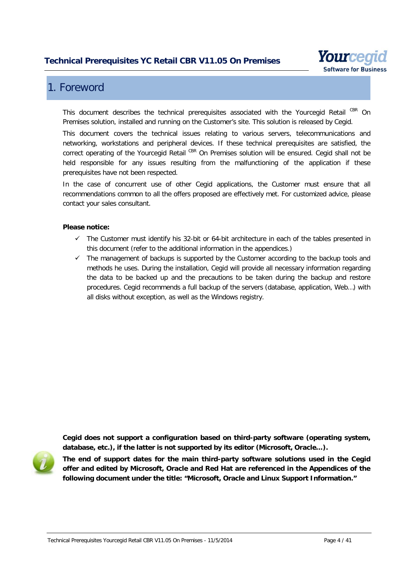

# <span id="page-3-0"></span>1. Foreword

This document describes the technical prerequisites associated with the Yourcegid Retail CBR On Premises solution, installed and running on the Customer's site. This solution is released by Cegid.

This document covers the technical issues relating to various servers, telecommunications and networking, workstations and peripheral devices. If these technical prerequisites are satisfied, the correct operating of the Yourcegid Retail CBR On Premises solution will be ensured. Cegid shall not be held responsible for any issues resulting from the malfunctioning of the application if these prerequisites have not been respected.

In the case of concurrent use of other Cegid applications, the Customer must ensure that all recommendations common to all the offers proposed are effectively met. For customized advice, please contact your sales consultant.

#### **Please notice:**

- $\checkmark$  The Customer must identify his 32-bit or 64-bit architecture in each of the tables presented in this document (refer to the additional information in the appendices.)
- $\checkmark$  The management of backups is supported by the Customer according to the backup tools and methods he uses. During the installation, Cegid will provide all necessary information regarding the data to be backed up and the precautions to be taken during the backup and restore procedures. Cegid recommends a full backup of the servers (database, application, Web…) with all disks without exception, as well as the Windows registry.

**Cegid does not support a configuration based on third-party software (operating system, database, etc.), if the latter is not supported by its editor (Microsoft, Oracle…).**



**The end of support dates for the main third-party software solutions used in the Cegid offer and edited by Microsoft, Oracle and Red Hat are referenced in the Appendices of the following document under the title: "Microsoft, Oracle and Linux Support Information."**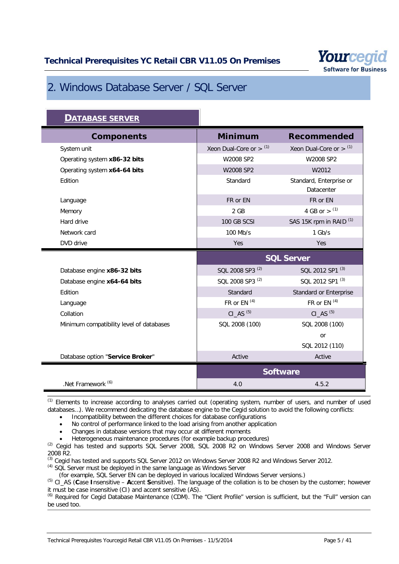

# <span id="page-4-0"></span>2. Windows Database Server / SQL Server

| <b>DATABASE SERVER</b>                   |                                       |                                       |
|------------------------------------------|---------------------------------------|---------------------------------------|
| <b>Components</b>                        | <b>Minimum</b>                        | <b>Recommended</b>                    |
| System unit                              | Xeon Dual-Core or $>$ $(1)$           | Xeon Dual-Core or $>$ $(1)$           |
| Operating system x86-32 bits             | W2008 SP2                             | W2008 SP2                             |
| Operating system x64-64 bits             | W2008 SP2                             | W2012                                 |
| Edition                                  | Standard                              | Standard, Enterprise or<br>Datacenter |
| Language                                 | FR or EN                              | FR or EN                              |
| Memory                                   | $2$ GB                                | 4 GB or $>$ (1)                       |
| Hard drive                               | <b>100 GB SCSI</b>                    | SAS 15K rpm in RAID <sup>(1)</sup>    |
| Network card                             | 100 Mb/s                              | $1$ Gb/s                              |
| DVD drive                                | Yes                                   | Yes                                   |
|                                          | <b>SQL Server</b>                     |                                       |
|                                          |                                       |                                       |
| Database engine x86-32 bits              | SQL 2008 SP3 <sup>(2)</sup>           | SQL 2012 SP1 <sup>(3)</sup>           |
| Database engine x64-64 bits              | SQL 2008 SP3 <sup>(2)</sup>           | SQL 2012 SP1 <sup>(3)</sup>           |
| Edition                                  | Standard                              | Standard or Enterprise                |
| Language                                 | FR or EN $(4)$                        | FR or EN <sup>(4)</sup>               |
| Collation                                | $CI$ <sub><math>AS</math></sub> $(5)$ | $CI$ <sub><math>AS</math></sub> $(5)$ |
| Minimum compatibility level of databases | SQL 2008 (100)                        | SQL 2008 (100)                        |
|                                          |                                       | or                                    |
|                                          |                                       | SQL 2012 (110)                        |
| Database option "Service Broker"         | Active                                | Active                                |
|                                          |                                       | <b>Software</b>                       |

(1) Elements to increase according to analyses carried out (operating system, number of users, and number of used databases…). We recommend dedicating the database engine to the Cegid solution to avoid the following conflicts:

• Incompatibility between the different choices for database configurations

No control of performance linked to the load arising from another application

• Changes in database versions that may occur at different moments

• Heterogeneous maintenance procedures (for example backup procedures)

(2) Cegid has tested and supports SQL Server 2008, SQL 2008 R2 on Windows Server 2008 and Windows Server 2008 R2.

(3) Cegid has tested and supports SQL Server 2012 on Windows Server 2008 R2 and Windows Server 2012.

(4) SQL Server must be deployed in the same language as Windows Server

(for example, SQL Server EN can be deployed in various localized Windows Server versions.)

(5) CI\_AS (**C**ase **I**nsensitive – **A**ccent **S**ensitive). The language of the collation is to be chosen by the customer; however it must be case insensitive (CI) and accent sensitive (AS).

(6) Required for Cegid Database Maintenance (CDM). The "Client Profile" version is sufficient, but the "Full" version can be used too.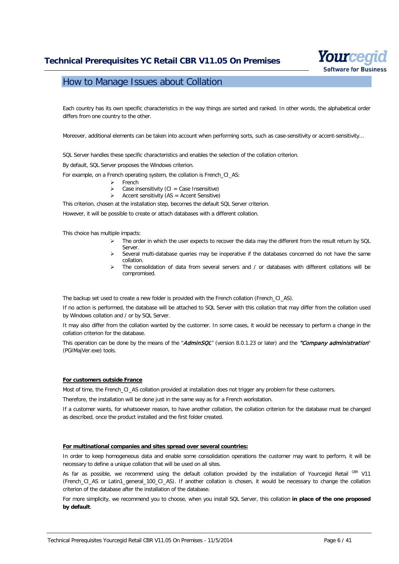

### <span id="page-5-0"></span>How to Manage Issues about Collation

Each country has its own specific characteristics in the way things are sorted and ranked. In other words, the alphabetical order differs from one country to the other.

Moreover, additional elements can be taken into account when performing sorts, such as case-sensitivity or accent-sensitivity...

SQL Server handles these specific characteristics and enables the selection of the collation criterion.

By default, SQL Server proposes the Windows criterion.

For example, on a French operating system, the collation is French CI\_AS:

- French
	- Ease insensitivity (CI = Case Insensitive)<br>Accent sensitivity (AS = Accent Sensitive)
	- Accent sensitivity  $(AS = Accent Sensitive)$

This criterion, chosen at the installation step, becomes the default SQL Server criterion.

However, it will be possible to create or attach databases with a different collation.

This choice has multiple impacts:

- $\triangleright$  The order in which the user expects to recover the data may the different from the result return by SQL Server.
- Several multi-database queries may be inoperative if the databases concerned do not have the same collation.
- The consolidation of data from several servers and / or databases with different collations will be compromised.

The backup set used to create a new folder is provided with the French collation (French\_CI\_AS).

If no action is performed, the database will be attached to SQL Server with this collation that may differ from the collation used by Windows collation and / or by SQL Server.

It may also differ from the collation wanted by the customer. In some cases, it would be necessary to perform a change in the collation criterion for the database.

This operation can be done by the means of the "AdminSQL" (version 8.0.1.23 or later) and the "Company administration" (PGIMajVer.exe) tools.

#### **For customers outside France**

Most of time, the French\_CI\_AS collation provided at installation does not trigger any problem for these customers.

Therefore, the installation will be done just in the same way as for a French workstation.

If a customer wants, for whatsoever reason, to have another collation, the collation criterion for the database must be changed as described, once the product installed and the first folder created.

#### **For multinational companies and sites spread over several countries:**

In order to keep homogeneous data and enable some consolidation operations the customer may want to perform, it will be necessary to define a unique collation that will be used on all sites.

As far as possible, we recommend using the default collation provided by the installation of Yourcegid Retail CBR V11 (French\_CI\_AS or Latin1\_general\_100\_CI\_AS). If another collation is chosen, it would be necessary to change the collation criterion of the database after the installation of the database.

For more simplicity, we recommend you to choose, when you install SQL Server, this collation **in place of the one proposed by default**.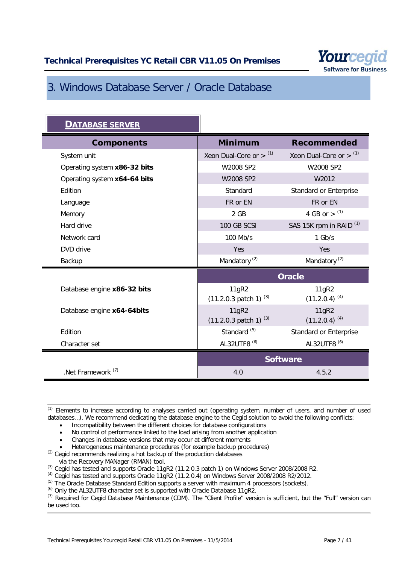

# <span id="page-6-0"></span>3. Windows Database Server / Oracle Database

| <b>DATABASE SERVER</b>        |                                              |                                    |  |
|-------------------------------|----------------------------------------------|------------------------------------|--|
| <b>Components</b>             | <b>Minimum</b>                               | <b>Recommended</b>                 |  |
| System unit                   | Xeon Dual-Core or $>$ $(1)$                  | Xeon Dual-Core or $>$ $(1)$        |  |
| Operating system x86-32 bits  | W2008 SP2                                    | W2008 SP2                          |  |
| Operating system x64-64 bits  | W2008 SP2                                    | W2012                              |  |
| Edition                       | Standard                                     | Standard or Enterprise             |  |
| Language                      | FR or EN                                     | FR or EN                           |  |
| Memory                        | 2 GB                                         | 4 GB or $>$ (1)                    |  |
| Hard drive                    | 100 GB SCSI                                  | SAS 15K rpm in RAID <sup>(1)</sup> |  |
| Network card                  | 100 Mb/s                                     | $1$ Gb/s                           |  |
| DVD drive                     | Yes                                          | Yes                                |  |
| Backup                        | Mandatory <sup>(2)</sup>                     | Mandatory <sup>(2)</sup>           |  |
|                               |                                              | <b>Oracle</b>                      |  |
| Database engine x86-32 bits   | 11gR2<br>$(11.2.0.3 \text{ patch } 1)^{(3)}$ | 11gR2<br>$(11.2.0.4)^{(4)}$        |  |
| Database engine x64-64bits    | 11gR2<br>$(11.2.0.3 \text{ patch } 1)^{(3)}$ | 11gR2<br>$(11.2.0.4)^{(4)}$        |  |
| Edition                       | Standard <sup>(5)</sup>                      | Standard or Enterprise             |  |
| Character set                 | AL32UTF8 <sup>(6)</sup>                      | AL32UTF8 <sup>(6)</sup>            |  |
|                               |                                              | <b>Software</b>                    |  |
| .Net Framework <sup>(7)</sup> | 4.0                                          | 4.5.2                              |  |

(1) Elements to increase according to analyses carried out (operating system, number of users, and number of used databases…). We recommend dedicating the database engine to the Cegid solution to avoid the following conflicts:

- Incompatibility between the different choices for database configurations
- No control of performance linked to the load arising from another application
- Changes in database versions that may occur at different moments
- Heterogeneous maintenance procedures (for example backup procedures)
- <sup>(2)</sup> Cegid recommends realizing a hot backup of the production databases
- via the Recovery MANager (RMAN) tool.
- <sup>(3)</sup> Cegid has tested and supports Oracle 11gR2 (11.2.0.3 patch 1) on Windows Server 2008/2008 R2.
- $^{(4)}$  Cegid has tested and supports Oracle 11gR2 (11.2.0.4) on Windows Server 2008/2008 R2/2012.
- (5) The Oracle Database Standard Edition supports a server with maximum 4 processors (sockets).
- (6) Only the AL32UTF8 character set is supported with Oracle Database 11gR2.

(7) Required for Cegid Database Maintenance (CDM). The "Client Profile" version is sufficient, but the "Full" version can be used too.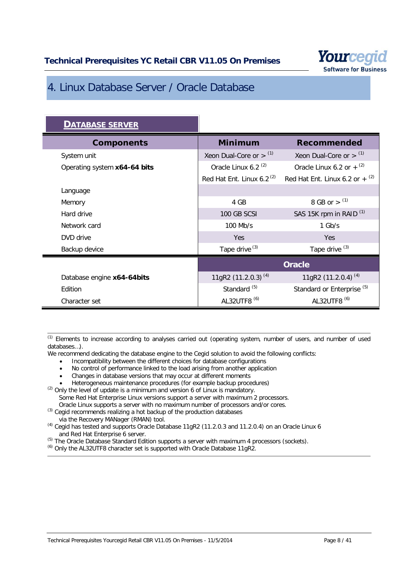

# <span id="page-7-0"></span>4. Linux Database Server / Oracle Database

| <b>DATABASE SERVER</b>       |                                 |                                              |
|------------------------------|---------------------------------|----------------------------------------------|
| <b>Components</b>            | <b>Minimum</b>                  | <b>Recommended</b>                           |
| System unit                  | Xeon Dual-Core or $>$ $(1)$     | Xeon Dual-Core or $>$ $(1)$                  |
| Operating system x64-64 bits | Oracle Linux 6.2 <sup>(2)</sup> | Oracle Linux 6.2 or $+$ <sup>(2)</sup>       |
|                              | Red Hat Ent. Linux 6.2 $(2)$    | Red Hat Ent. Linux 6.2 or $+$ <sup>(2)</sup> |
| Language                     |                                 |                                              |
| Memory                       | 4 GB                            | 8 GB or $>$ (1)                              |
| Hard drive                   | 100 GB SCSI                     | SAS 15K rpm in RAID <sup>(1)</sup>           |
| Network card                 | 100 Mb/s                        | $1$ Gb/s                                     |
| DVD drive                    | <b>Yes</b>                      | Yes                                          |
| Backup device                | Tape drive <sup>(3)</sup>       | Tape drive <sup>(3)</sup>                    |
|                              | <b>Oracle</b>                   |                                              |
| Database engine x64-64bits   | 11gR2 (11.2.0.3) <sup>(4)</sup> | 11gR2 $(11.2.0.4)^{(4)}$                     |
| Edition                      | Standard <sup>(5)</sup>         | Standard or Enterprise <sup>(5)</sup>        |
| Character set                | AL32UTF8 <sup>(6)</sup>         | AL32UTF8 <sup>(6)</sup>                      |

<sup>(1)</sup> Elements to increase according to analyses carried out (operating system, number of users, and number of used databases…).

We recommend dedicating the database engine to the Cegid solution to avoid the following conflicts:

- Incompatibility between the different choices for database configurations
- No control of performance linked to the load arising from another application
- Changes in database versions that may occur at different moments
- Heterogeneous maintenance procedures (for example backup procedures)
- $(2)$  Only the level of update is a minimum and version 6 of Linux is mandatory. Some Red Hat Enterprise Linux versions support a server with maximum 2 processors. Oracle Linux supports a server with no maximum number of processors and/or cores.
- <sup>(3)</sup> Cegid recommends realizing a hot backup of the production databases via the Recovery MANager (RMAN) tool.
- (4) Cegid has tested and supports Oracle Database 11gR2 (11.2.0.3 and 11.2.0.4) on an Oracle Linux 6 and Red Hat Enterprise 6 server.
- <sup>(5)</sup> The Oracle Database Standard Edition supports a server with maximum 4 processors (sockets).
- (6) Only the AL32UTF8 character set is supported with Oracle Database 11gR2.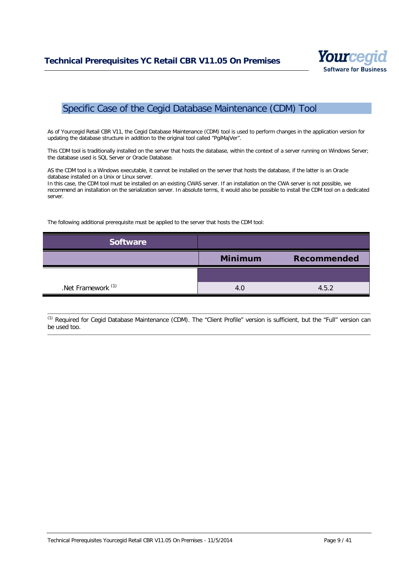

# <span id="page-8-0"></span>Specific Case of the Cegid Database Maintenance (CDM) Tool

As of Yourcegid Retail CBR V11, the Cegid Database Maintenance (CDM) tool is used to perform changes in the application version for updating the database structure in addition to the original tool called "PgiMajVer".

This CDM tool is traditionally installed on the server that hosts the database, within the context of a server running on Windows Server; the database used is SQL Server or Oracle Database.

AS the CDM tool is a Windows executable, it cannot be installed on the server that hosts the database, if the latter is an Oracle database installed on a Unix or Linux server.

In this case, the CDM tool must be installed on an existing CWAS server. If an installation on the CWA server is not possible, we recommend an installation on the serialization server. In absolute terms, it would also be possible to install the CDM tool on a dedicated server.

The following additional prerequisite must be applied to the server that hosts the CDM tool:

| <b>Software</b>               |                |             |
|-------------------------------|----------------|-------------|
|                               | <b>Minimum</b> | Recommended |
|                               |                |             |
| .Net Framework <sup>(1)</sup> | 4.0            | 4.5.2       |

(1) Required for Cegid Database Maintenance (CDM). The "Client Profile" version is sufficient, but the "Full" version can be used too.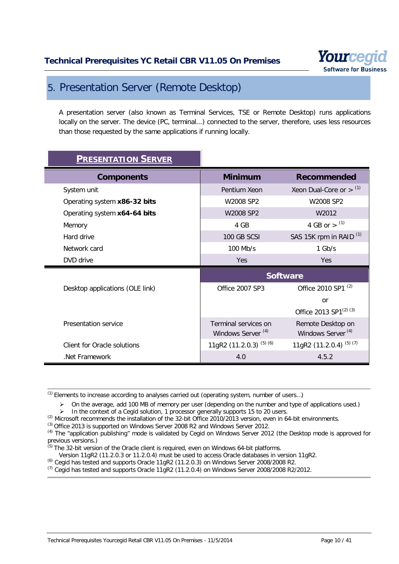

# <span id="page-9-0"></span>5. Presentation Server (Remote Desktop)

A presentation server (also known as Terminal Services, TSE or Remote Desktop) runs applications locally on the server. The device (PC, terminal...) connected to the server, therefore, uses less resources than those requested by the same applications if running locally.

| <b>PRESENTATION SERVER</b>      |                                                       |                                                    |
|---------------------------------|-------------------------------------------------------|----------------------------------------------------|
| <b>Components</b>               | <b>Minimum</b>                                        | <b>Recommended</b>                                 |
| System unit                     | Pentium Xeon                                          | Xeon Dual-Core or $>$ $(1)$                        |
| Operating system x86-32 bits    | W2008 SP2                                             | W2008 SP2                                          |
| Operating system x64-64 bits    | W2008 SP2                                             | W2012                                              |
| Memory                          | 4 GB                                                  | 4 GB or $>$ (1)                                    |
| Hard drive                      | 100 GB SCSI                                           | SAS 15K rpm in RAID <sup>(1)</sup>                 |
| Network card                    | $100$ Mb/s                                            | $1$ Gb/s                                           |
| DVD drive                       | Yes                                                   | Yes                                                |
|                                 |                                                       |                                                    |
|                                 |                                                       | <b>Software</b>                                    |
| Desktop applications (OLE link) | Office 2007 SP3                                       | Office 2010 SP1 <sup>(2)</sup>                     |
|                                 |                                                       | <b>or</b>                                          |
|                                 |                                                       | Office 2013 SP1 <sup>(2)</sup> (3)                 |
| Presentation service            | Terminal services on<br>Windows Server <sup>(4)</sup> | Remote Desktop on<br>Windows Server <sup>(4)</sup> |
| Client for Oracle solutions     | 11gR2 (11.2.0.3) <sup>(5)(6)</sup>                    | 11gR2 (11.2.0.4) <sup>(5)(7)</sup>                 |

(1) Elements to increase according to analyses carried out (operating system, number of users…)

 $\triangleright$  On the average, add 100 MB of memory per user (depending on the number and type of applications used.)

> In the context of a Cegid solution, 1 processor generally supports 15 to 20 users.

 $^{(2)}$  Microsoft recommends the installation of the 32-bit Office 2010/2013 version, even in 64-bit environments.

(3) Office 2013 is supported on Windows Server 2008 R2 and Windows Server 2012.

<sup>(4)</sup> The "application publishing" mode is validated by Cegid on Windows Server 2012 (the Desktop mode is approved for previous versions.)

 $(5)$  The 32-bit version of the Oracle client is required, even on Windows 64-bit platforms.

Version 11gR2 (11.2.0.3 or 11.2.0.4) must be used to access Oracle databases in version 11gR2.

(6) Cegid has tested and supports Oracle 11gR2 (11.2.0.3) on Windows Server 2008/2008 R2.

 $^{(7)}$  Cegid has tested and supports Oracle 11gR2 (11.2.0.4) on Windows Server 2008/2008 R2/2012.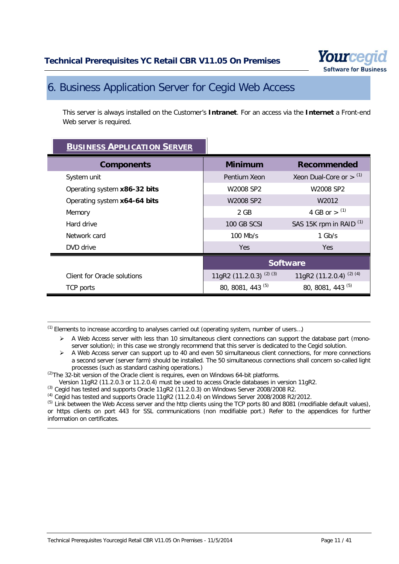

# <span id="page-10-0"></span>6. Business Application Server for Cegid Web Access

This server is always installed on the Customer's **Intranet**. For an access via the **Internet** a Front-end Web server is required.

| <b>BUSINESS APPLICATION SERVER</b> |                                      |                                    |
|------------------------------------|--------------------------------------|------------------------------------|
| <b>Components</b>                  | <b>Minimum</b>                       | <b>Recommended</b>                 |
| System unit                        | Pentium Xeon                         | Xeon Dual-Core or $>$ $(1)$        |
| Operating system x86-32 bits       | W2008 SP2                            | W2008 SP2                          |
| Operating system x64-64 bits       | W2008 SP2                            | W2012                              |
| Memory                             | 2 GB                                 | 4 GB or $>$ (1)                    |
| Hard drive                         | 100 GB SCSI                          | SAS 15K rpm in RAID <sup>(1)</sup> |
| Network card                       | $100$ Mb/s                           | $1$ Gb/s                           |
| DVD drive                          | Yes.                                 | Yes.                               |
|                                    |                                      | <b>Software</b>                    |
| Client for Oracle solutions        | 11gR2 $(11.2.0.3)$ <sup>(2)(3)</sup> | 11gR2 (11.2.0.4) <sup>(2)(4)</sup> |
| TCP ports                          | 80, 8081, 443 <sup>(5)</sup>         | 80, 8081, 443 (5)                  |

 $<sup>(1)</sup>$  Elements to increase according to analyses carried out (operating system, number of users...)</sup>

- A Web Access server with less than 10 simultaneous client connections can support the database part (monoserver solution); in this case we strongly recommend that this server is dedicated to the Cegid solution.
- A Web Access server can support up to 40 and even 50 simultaneous client connections, for more connections a second server (server farm) should be installed. The 50 simultaneous connections shall concern so-called light processes (such as standard cashing operations.)

 $^{(2)}$ The 32-bit version of the Oracle client is requires, even on Windows 64-bit platforms.

Version 11gR2 (11.2.0.3 or 11.2.0.4) must be used to access Oracle databases in version 11gR2.

(3) Cegid has tested and supports Oracle 11gR2 (11.2.0.3) on Windows Server 2008/2008 R2.

 $<sup>(4)</sup>$  Cegid has tested and supports Oracle 11gR2 (11.2.0.4) on Windows Server 2008/2008 R2/2012.</sup>

 $<sup>(5)</sup>$  Link between the Web Access server and the http clients using the TCP ports 80 and 8081 (modifiable default values),</sup> or https clients on port 443 for SSL communications (non modifiable port.) Refer to the appendices for further information on certificates.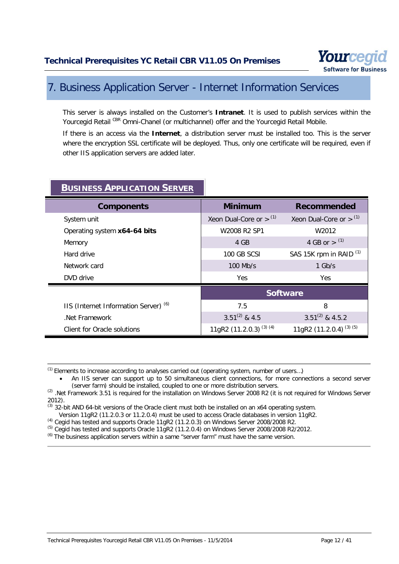

# <span id="page-11-0"></span>7. Business Application Server - Internet Information Services

This server is always installed on the Customer's **Intranet**. It is used to publish services within the Yourcegid Retail CBR Omni-Chanel (or multichannel) offer and the Yourcegid Retail Mobile.

If there is an access via the **Internet**, a distribution server must be installed too. This is the server where the encryption SSL certificate will be deployed. Thus, only one certificate will be required, even if other IIS application servers are added later.

| <b>Components</b>                                | <b>Minimum</b>                     | <b>Recommended</b>                 |
|--------------------------------------------------|------------------------------------|------------------------------------|
| System unit                                      | Xeon Dual-Core or $>$ (1)          | Xeon Dual-Core or $>$ $(1)$        |
| Operating system x64-64 bits                     | W2008 R2 SP1                       | W2012                              |
| Memory                                           | 4 GB                               | 4 GB or $>$ (1)                    |
| Hard drive                                       | 100 GB SCSI                        | SAS 15K rpm in RAID <sup>(1)</sup> |
| Network card                                     | $100$ Mb/s                         | $1$ Gb/s                           |
| DVD drive                                        | <b>Yes</b>                         | Yes.                               |
|                                                  |                                    | <b>Software</b>                    |
| IIS (Internet Information Server) <sup>(6)</sup> | 7.5                                | 8                                  |
| Net Framework                                    | $3.51^{(2)}$ & 4.5                 | $3.51^{(2)}$ & 4.5.2               |
| Client for Oracle solutions                      | 11gR2 (11.2.0.3) <sup>(3)(4)</sup> | 11gR2 (11.2.0.4) <sup>(3)(5)</sup> |
|                                                  |                                    |                                    |

# **BUSINESS APPLICATION SERVER**

 $(1)$  Elements to increase according to analyses carried out (operating system, number of users...)

An IIS server can support up to 50 simultaneous client connections, for more connections a second server (server farm) should be installed, coupled to one or more distribution servers.

<sup>(2)</sup> .Net Framework 3.51 is required for the installation on Windows Server 2008 R2 (it is not required for Windows Server 2012).

 $^{(3)}$  32-bit AND 64-bit versions of the Oracle client must both be installed on an x64 operating system.

Version 11gR2 (11.2.0.3 or 11.2.0.4) must be used to access Oracle databases in version 11gR2.

(4) Cegid has tested and supports Oracle 11gR2 (11.2.0.3) on Windows Server 2008/2008 R2.

 $^{(5)}$  Cegid has tested and supports Oracle 11gR2 (11.2.0.4) on Windows Server 2008/2008 R2/2012.

 $<sup>(6)</sup>$  The business application servers within a same "server farm" must have the same version.</sup>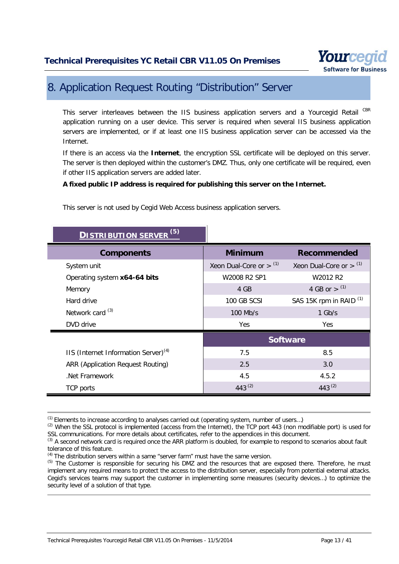

# <span id="page-12-0"></span>8. Application Request Routing "Distribution" Server

This server interleaves between the IIS business application servers and a Yourcegid Retail CBR application running on a user device. This server is required when several IIS business application servers are implemented, or if at least one IIS business application server can be accessed via the Internet.

If there is an access via the **Internet**, the encryption SSL certificate will be deployed on this server. The server is then deployed within the customer's DMZ. Thus, only one certificate will be required, even if other IIS application servers are added later.

#### **A fixed public IP address is required for publishing this server on the Internet.**

| (5)<br><b>DISTRIBUTION SERVER</b>                |                           |                                    |
|--------------------------------------------------|---------------------------|------------------------------------|
| <b>Components</b>                                | <b>Minimum</b>            | <b>Recommended</b>                 |
| System unit                                      | Xeon Dual-Core or $>$ (1) | Xeon Dual-Core or $>$ $(1)$        |
| Operating system x64-64 bits                     | W2008 R2 SP1              | W2012 R2                           |
| Memory                                           | 4 GB                      | 4 GB or $>$ (1)                    |
| Hard drive                                       | 100 GB SCSI               | SAS 15K rpm in RAID <sup>(1)</sup> |
| Network card <sup>(3)</sup>                      | 100 Mb/s                  | $1$ Gb/s                           |
| DVD drive                                        | Yes                       | <b>Yes</b>                         |
|                                                  | <b>Software</b>           |                                    |
| IIS (Internet Information Server) <sup>(4)</sup> | 7.5                       | 8.5                                |
| <b>ARR (Application Request Routing)</b>         | 2.5                       | 3.0                                |
| .Net Framework                                   | 4.5                       | 4.5.2                              |
| <b>TCP</b> ports                                 | 443 $(2)$                 | 443 $(2)$                          |

This server is not used by Cegid Web Access business application servers.

 $<sup>(1)</sup>$  Elements to increase according to analyses carried out (operating system, number of users...)</sup>

(4) The distribution servers within a same "server farm" must have the same version.

 $(2)$  When the SSL protocol is implemented (access from the Internet), the TCP port 443 (non modifiable port) is used for SSL communications. For more details about certificates, refer to the appendices in this document.

<sup>&</sup>lt;sup>(3)</sup> A second network card is required once the ARR platform is doubled, for example to respond to scenarios about fault tolerance of this feature.

<sup>&</sup>lt;sup>(5)</sup> The Customer is responsible for securing his DMZ and the resources that are exposed there. Therefore, he must implement any required means to protect the access to the distribution server, especially from potential external attacks. Cegid's services teams may support the customer in implementing some measures (security devices…) to optimize the security level of a solution of that type.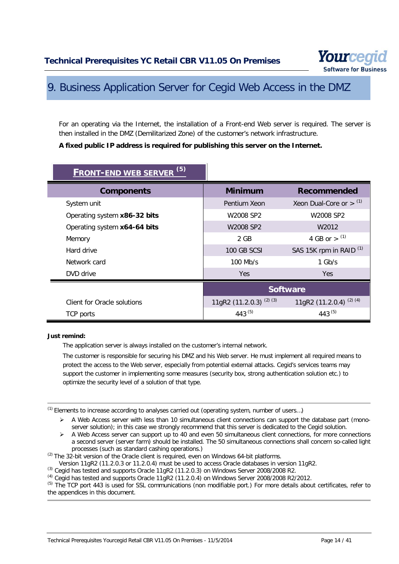

# <span id="page-13-0"></span>9. Business Application Server for Cegid Web Access in the DMZ

For an operating via the Internet, the installation of a Front-end Web server is required. The server is then installed in the DMZ (Demilitarized Zone) of the customer's network infrastructure.

#### **A fixed public IP address is required for publishing this server on the Internet.**

| <b>FRONT-END WEB SERVER (5)</b> |                             |                                    |
|---------------------------------|-----------------------------|------------------------------------|
| <b>Components</b>               | <b>Minimum</b>              | <b>Recommended</b>                 |
| System unit                     | Pentium Xeon                | Xeon Dual-Core or $>$ $(1)$        |
| Operating system x86-32 bits    | W2008 SP2                   | W2008 SP2                          |
| Operating system x64-64 bits    | W2008 SP2                   | W <sub>2012</sub>                  |
| Memory                          | 2 GB                        | 4 GB or $>$ (1)                    |
| Hard drive                      | 100 GB SCSI                 | SAS 15K rpm in RAID <sup>(1)</sup> |
| Network card                    | $100$ Mb/s                  | $1$ Gb/s                           |
| DVD drive                       | <b>Yes</b>                  | Yes.                               |
|                                 | <b>Software</b>             |                                    |
| Client for Oracle solutions     | 11gR2 $(11.2.0.3)^{(2)(3)}$ | 11gR2 (11.2.0.4) <sup>(2)(4)</sup> |
| TCP ports                       | 443 <sup>(5)</sup>          | $443^{(5)}$                        |

#### **Just remind:**

The application server is always installed on the customer's internal network.

The customer is responsible for securing his DMZ and his Web server. He must implement all required means to protect the access to the Web server, especially from potential external attacks. Cegid's services teams may support the customer in implementing some measures (security box, strong authentication solution etc.) to optimize the security level of a solution of that type.

(1) Elements to increase according to analyses carried out (operating system, number of users…)

- $\triangleright$  A Web Access server with less than 10 simultaneous client connections can support the database part (monoserver solution); in this case we strongly recommend that this server is dedicated to the Cegid solution.
- $\triangleright$  A Web Access server can support up to 40 and even 50 simultaneous client connections, for more connections a second server (server farm) should be installed. The 50 simultaneous connections shall concern so-called light processes (such as standard cashing operations.)

 $(2)$  The 32-bit version of the Oracle client is required, even on Windows 64-bit platforms.

Version 11gR2 (11.2.0.3 or 11.2.0.4) must be used to access Oracle databases in version 11gR2.

 $^{(3)}$  Cegid has tested and supports Oracle 11gR2 (11.2.0.3) on Windows Server 2008/2008 R2.

 $<sup>(4)</sup>$  Cegid has tested and supports Oracle 11gR2 (11.2.0.4) on Windows Server 2008/2008 R2/2012.</sup>

<sup>(5)</sup> The TCP port 443 is used for SSL communications (non modifiable port.) For more details about certificates, refer to the appendices in this document.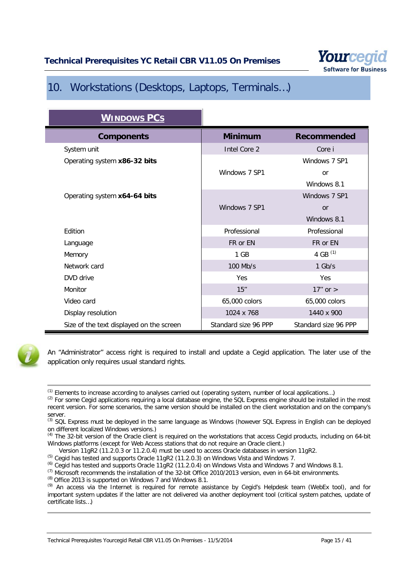

# <span id="page-14-0"></span>10. Workstations (Desktops, Laptops, Terminals…)

| <b>WINDOWS PCS</b>                       |                      |                      |
|------------------------------------------|----------------------|----------------------|
| <b>Components</b>                        | <b>Minimum</b>       | <b>Recommended</b>   |
| System unit                              | Intel Core 2         | Core i               |
| Operating system x86-32 bits             |                      | Windows 7 SP1        |
|                                          | Windows 7 SP1        | <b>or</b>            |
|                                          |                      | Windows 8.1          |
| Operating system x64-64 bits             |                      | Windows 7 SP1        |
|                                          | Windows 7 SP1        | or                   |
|                                          |                      | Windows 8.1          |
| Edition                                  | Professional         | Professional         |
| Language                                 | FR or EN             | FR or EN             |
| Memory                                   | 1 GB                 | 4 GB $(1)$           |
| Network card                             | 100 Mb/s             | $1$ Gb/s             |
| DVD drive                                | Yes                  | Yes                  |
| Monitor                                  | $15$ "               | $17''$ or $>$        |
| Video card                               | 65,000 colors        | 65,000 colors        |
| Display resolution                       | 1024 x 768           | 1440 x 900           |
| Size of the text displayed on the screen | Standard size 96 PPP | Standard size 96 PPP |



An "Administrator" access right is required to install and update a Cegid application. The later use of the application only requires usual standard rights.

(5) Cegid has tested and supports Oracle 11gR2 (11.2.0.3) on Windows Vista and Windows 7.

 $^{(6)}$  Cegid has tested and supports Oracle 11gR2 (11.2.0.4) on Windows Vista and Windows 7 and Windows 8.1.

 $<sup>(1)</sup>$  Elements to increase according to analyses carried out (operating system, number of local applications...)</sup>

<sup>&</sup>lt;sup>(2)</sup> For some Cegid applications requiring a local database engine, the SQL Express engine should be installed in the most recent version. For some scenarios, the same version should be installed on the client workstation and on the company's server.

 $<sup>(3)</sup>$  SQL Express must be deployed in the same language as Windows (however SQL Express in English can be deployed</sup> on different localized Windows versions.)

<sup>&</sup>lt;sup>(4)</sup> The 32-bit version of the Oracle client is required on the workstations that access Cegid products, including on 64-bit Windows platforms (except for Web Access stations that do not require an Oracle client.)

Version 11gR2 (11.2.0.3 or 11.2.0.4) must be used to access Oracle databases in version 11gR2.

<sup>(7)</sup> Microsoft recommends the installation of the 32-bit Office 2010/2013 version, even in 64-bit environments.

 $(8)$  Office 2013 is supported on Windows 7 and Windows 8.1.

<sup>(9)</sup> An access via the Internet is required for remote assistance by Cegid's Helpdesk team (WebEx tool), and for important system updates if the latter are not delivered via another deployment tool (critical system patches, update of certificate lists…)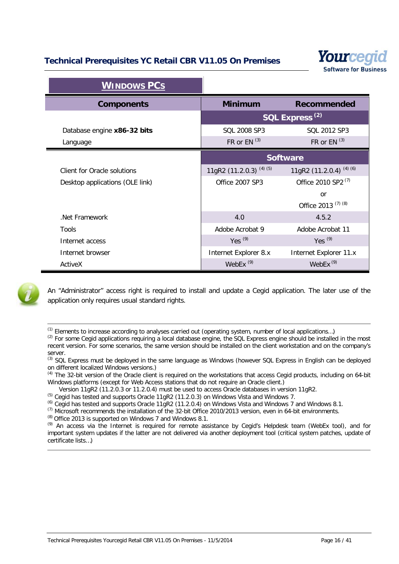

| <b>WINDOWS PCS</b>              |                                    |                                    |
|---------------------------------|------------------------------------|------------------------------------|
| <b>Components</b>               | <b>Minimum</b>                     | <b>Recommended</b>                 |
|                                 |                                    | SQL Express <sup>(2)</sup>         |
| Database engine x86-32 bits     | SQL 2008 SP3                       | SQL 2012 SP3                       |
| Language                        | FR or $EN$ <sup>(3)</sup>          | FR or $EN^{(3)}$                   |
|                                 | <b>Software</b>                    |                                    |
| Client for Oracle solutions     | 11gR2 (11.2.0.3) <sup>(4)(5)</sup> | 11gR2 (11.2.0.4) <sup>(4)(6)</sup> |
| Desktop applications (OLE link) | Office 2007 SP3                    | Office 2010 SP2 <sup>(7)</sup>     |
|                                 |                                    | or                                 |
|                                 |                                    | Office 2013 <sup>(7)(8)</sup>      |
| .Net Framework                  | 4.0                                | 4.5.2                              |
| Tools                           | Adobe Acrobat 9                    | Adobe Acrobat 11                   |
| Internet access                 | Yes $(9)$                          | Yes $(9)$                          |
| Internet browser                | Internet Explorer 8.x              | Internet Explorer 11.x             |



An "Administrator" access right is required to install and update a Cegid application. The later use of the application only requires usual standard rights.

ActiveX WebEx (9) WebEx (9)

(1) Elements to increase according to analyses carried out (operating system, number of local applications…)

<sup>(2)</sup> For some Cegid applications requiring a local database engine, the SQL Express engine should be installed in the most recent version. For some scenarios, the same version should be installed on the client workstation and on the company's server.

(3) SQL Express must be deployed in the same language as Windows (however SQL Express in English can be deployed on different localized Windows versions.)

<sup>(4)</sup> The 32-bit version of the Oracle client is required on the workstations that access Cegid products, including on 64-bit Windows platforms (except for Web Access stations that do not require an Oracle client.)

Version 11gR2 (11.2.0.3 or 11.2.0.4) must be used to access Oracle databases in version 11gR2.

(5) Cegid has tested and supports Oracle 11gR2 (11.2.0.3) on Windows Vista and Windows 7.

(6) Cegid has tested and supports Oracle 11gR2 (11.2.0.4) on Windows Vista and Windows 7 and Windows 8.1.

(7) Microsoft recommends the installation of the 32-bit Office 2010/2013 version, even in 64-bit environments.

 $^{(8)}$  Office 2013 is supported on Windows 7 and Windows 8.1.

(9) An access via the Internet is required for remote assistance by Cegid's Helpdesk team (WebEx tool), and for important system updates if the latter are not delivered via another deployment tool (critical system patches, update of certificate lists…)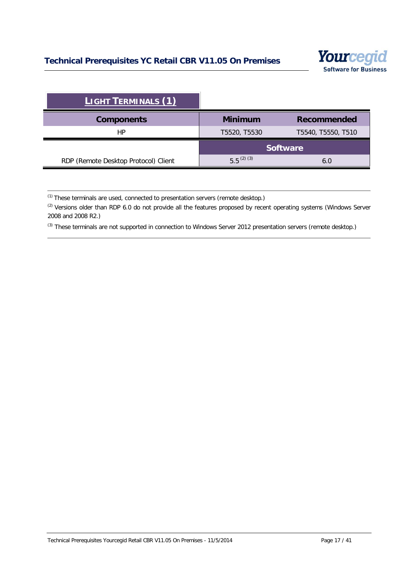

| <b>LIGHT TERMINALS (1)</b>           |                |                    |
|--------------------------------------|----------------|--------------------|
| <b>Components</b>                    | <b>Minimum</b> | <b>Recommended</b> |
| НP                                   | T5520, T5530   | T5540, T5550, T510 |
|                                      |                | <b>Software</b>    |
| RDP (Remote Desktop Protocol) Client | $5.5^{(2)(3)}$ | 6.0                |

 $(1)$  These terminals are used, connected to presentation servers (remote desktop.)

<sup>(2)</sup> Versions older than RDP 6.0 do not provide all the features proposed by recent operating systems (Windows Server 2008 and 2008 R2.)

<sup>(3)</sup> These terminals are not supported in connection to Windows Server 2012 presentation servers (remote desktop.)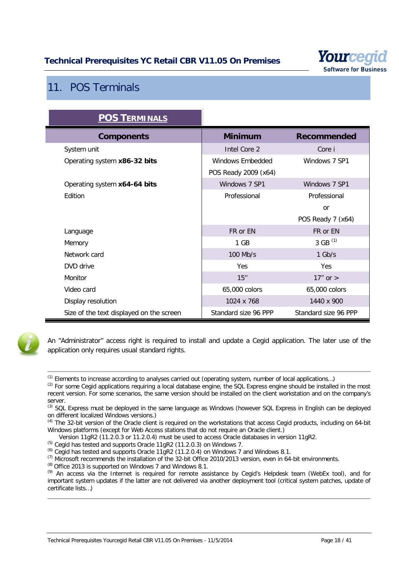

# <span id="page-17-0"></span>11. POS Terminals

| <b>POS TERMINALS</b>                     |                      |                      |
|------------------------------------------|----------------------|----------------------|
| <b>Components</b>                        | <b>Minimum</b>       | <b>Recommended</b>   |
| System unit                              | Intel Core 2         | Core i               |
| Operating system x86-32 bits             | Windows Embedded     | Windows 7 SP1        |
|                                          | POS Ready 2009 (x64) |                      |
| Operating system x64-64 bits             | Windows 7 SP1        | Windows 7 SP1        |
| Edition                                  | Professional         | Professional         |
|                                          |                      | <b>or</b>            |
|                                          |                      | POS Ready 7 (x64)    |
| Language                                 | FR or EN             | FR or EN             |
| Memory                                   | 1 GB                 | 3 GB $(1)$           |
| Network card                             | 100 Mb/s             | $1$ Gb/s             |
| DVD drive                                | <b>Yes</b>           | Yes                  |
| Monitor                                  | 15"                  | $17"$ or $>$         |
| Video card                               | 65,000 colors        | 65,000 colors        |
| Display resolution                       | 1024 x 768           | 1440 x 900           |
| Size of the text displayed on the screen | Standard size 96 PPP | Standard size 96 PPP |



An "Administrator" access right is required to install and update a Cegid application. The later use of the application only requires usual standard rights.

- <sup>(2)</sup> For some Cegid applications requiring a local database engine, the SQL Express engine should be installed in the most recent version. For some scenarios, the same version should be installed on the client workstation and on the company's server.
- (3) SQL Express must be deployed in the same language as Windows (however SQL Express in English can be deployed on different localized Windows versions.)
- $(4)$  The 32-bit version of the Oracle client is required on the workstations that access Cegid products, including on 64-bit Windows platforms (except for Web Access stations that do not require an Oracle client.)
- Version 11gR2 (11.2.0.3 or 11.2.0.4) must be used to access Oracle databases in version 11gR2.
- (5) Cegid has tested and supports Oracle 11gR2 (11.2.0.3) on Windows 7.
- $^{(6)}$  Cegid has tested and supports Oracle 11gR2 (11.2.0.4) on Windows 7 and Windows 8.1.
- (7) Microsoft recommends the installation of the 32-bit Office 2010/2013 version, even in 64-bit environments.
- $^{(8)}$  Office 2013 is supported on Windows 7 and Windows 8.1.

 $<sup>(1)</sup>$  Elements to increase according to analyses carried out (operating system, number of local applications...)</sup>

<sup>(9)</sup> An access via the Internet is required for remote assistance by Cegid's Helpdesk team (WebEx tool), and for important system updates if the latter are not delivered via another deployment tool (critical system patches, update of certificate lists…)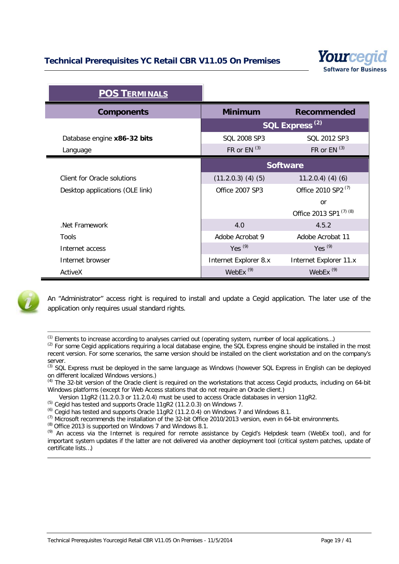

| <b>POS TERMINALS</b>            |                            |                                |
|---------------------------------|----------------------------|--------------------------------|
| <b>Components</b>               | <b>Minimum</b>             | <b>Recommended</b>             |
|                                 | SQL Express <sup>(2)</sup> |                                |
| Database engine x86-32 bits     | SQL 2008 SP3               | SQL 2012 SP3                   |
| Language                        | FR or EN $(3)$             | FR or $EN^{(3)}$               |
|                                 | <b>Software</b>            |                                |
| Client for Oracle solutions     | $(11.2.0.3)$ $(4)$ $(5)$   | $11.2.0.4)$ (4) (6)            |
| Desktop applications (OLE link) | Office 2007 SP3            | Office 2010 SP2 <sup>(7)</sup> |
|                                 |                            | <sub>or</sub>                  |
|                                 |                            | Office 2013 SP1 (7) (8)        |
| Net Framework                   | 4.0                        | 4.5.2                          |
| <b>Tools</b>                    | Adobe Acrobat 9            | Adobe Acrobat 11               |
| Internet access                 | Yes $(9)$                  | Yes $(9)$                      |
| Internet browser                | Internet Explorer 8.x      | Internet Explorer 11.x         |
| ActiveX                         | WebEx $(9)$                | WebEx $(9)$                    |



An "Administrator" access right is required to install and update a Cegid application. The later use of the application only requires usual standard rights.

 $<sup>(1)</sup>$  Elements to increase according to analyses carried out (operating system, number of local applications...)</sup>

 $<sup>(2)</sup>$  For some Cegid applications requiring a local database engine, the SQL Express engine should be installed in the most</sup> recent version. For some scenarios, the same version should be installed on the client workstation and on the company's server.

<sup>(3)</sup> SQL Express must be deployed in the same language as Windows (however SQL Express in English can be deployed on different localized Windows versions.)

<sup>(4)</sup> The 32-bit version of the Oracle client is required on the workstations that access Cegid products, including on 64-bit Windows platforms (except for Web Access stations that do not require an Oracle client.)

Version 11gR2 (11.2.0.3 or 11.2.0.4) must be used to access Oracle databases in version 11gR2.

(5) Cegid has tested and supports Oracle 11gR2 (11.2.0.3) on Windows 7.

 $^{(6)}$  Cegid has tested and supports Oracle 11gR2 (11.2.0.4) on Windows 7 and Windows 8.1.

(7) Microsoft recommends the installation of the 32-bit Office 2010/2013 version, even in 64-bit environments.

(8) Office 2013 is supported on Windows 7 and Windows 8.1.

(9) An access via the Internet is required for remote assistance by Cegid's Helpdesk team (WebEx tool), and for important system updates if the latter are not delivered via another deployment tool (critical system patches, update of certificate lists…)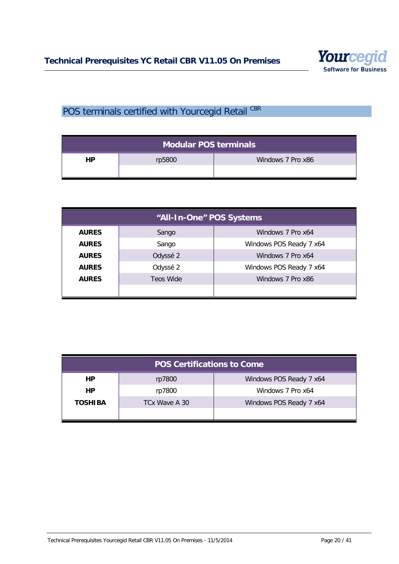

# <span id="page-19-0"></span>POS terminals certified with Yourcegid Retail CBR

| Modular POS terminals |        |                   |
|-----------------------|--------|-------------------|
| HP                    | rp5800 | Windows 7 Pro x86 |

| "All-In-One" POS Systems |                  |                         |
|--------------------------|------------------|-------------------------|
| <b>AURES</b>             | Sango            | Windows 7 Pro x64       |
| <b>AURES</b>             | Sango            | Windows POS Ready 7 x64 |
| <b>AURES</b>             | Odyssé 2         | Windows 7 Pro x64       |
| <b>AURES</b>             | Odyssé 2         | Windows POS Ready 7 x64 |
| <b>AURES</b>             | <b>Teos Wide</b> | Windows 7 Pro x86       |
|                          |                  |                         |

| <b>POS Certifications to Come</b> |               |                         |
|-----------------------------------|---------------|-------------------------|
| HP.                               | rp7800        | Windows POS Ready 7 x64 |
| <b>HP</b>                         | rp7800        | Windows 7 Pro x64       |
| <b>TOSHIBA</b>                    | TCx Wave A 30 | Windows POS Ready 7 x64 |
|                                   |               |                         |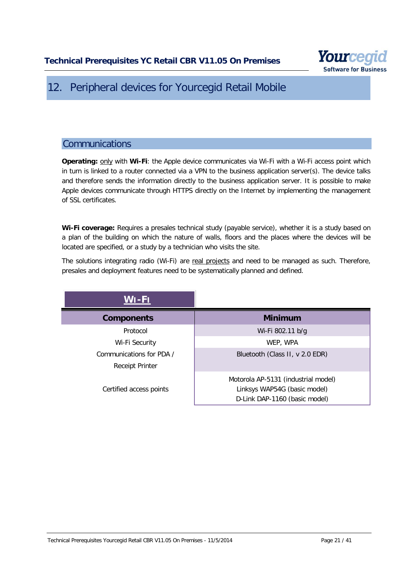

# <span id="page-20-0"></span>12. Peripheral devices for Yourcegid Retail Mobile

# <span id="page-20-1"></span>**Communications**

**Operating:** only with **Wi-Fi**: the Apple device communicates via Wi-Fi with a Wi-Fi access point which in turn is linked to a router connected via a VPN to the business application server(s). The device talks and therefore sends the information directly to the business application server. It is possible to make Apple devices communicate through HTTPS directly on the Internet by implementing the management of SSL certificates.

**Wi-Fi coverage:** Requires a presales technical study (payable service), whether it is a study based on a plan of the building on which the nature of walls, floors and the places where the devices will be located are specified, or a study by a technician who visits the site.

The solutions integrating radio (Wi-Fi) are real projects and need to be managed as such. Therefore, presales and deployment features need to be systematically planned and defined.

| $WI$ -Fi                 |                                                                                                      |
|--------------------------|------------------------------------------------------------------------------------------------------|
| <b>Components</b>        | <b>Minimum</b>                                                                                       |
| Protocol                 | Wi-Fi 802.11 b/g                                                                                     |
| Wi-Fi Security           | WEP, WPA                                                                                             |
| Communications for PDA / | Bluetooth (Class II, v 2.0 EDR)                                                                      |
| <b>Receipt Printer</b>   |                                                                                                      |
| Certified access points  | Motorola AP-5131 (industrial model)<br>Linksys WAP54G (basic model)<br>D-Link DAP-1160 (basic model) |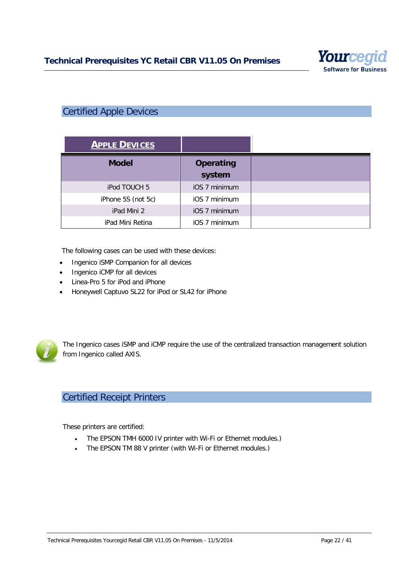

# <span id="page-21-0"></span>Certified Apple Devices

| <b>APPLE DEVICES</b> |                            |
|----------------------|----------------------------|
| <b>Model</b>         | <b>Operating</b><br>system |
| iPod TOUCH 5         | iOS 7 minimum              |
| iPhone 5S (not 5c)   | iOS 7 minimum              |
| iPad Mini 2          | iOS 7 minimum              |
| iPad Mini Retina     | iOS 7 minimum              |

The following cases can be used with these devices:

- Ingenico iSMP Companion for all devices
- Ingenico iCMP for all devices
- Linea-Pro 5 for iPod and iPhone
- Honeywell Captuvo SL22 for iPod or SL42 for iPhone



The Ingenico cases iSMP and iCMP require the use of the centralized transaction management solution from Ingenico called AXIS.

# <span id="page-21-1"></span>Certified Receipt Printers

These printers are certified:

- The EPSON TMH 6000 IV printer with Wi-Fi or Ethernet modules.)
- The EPSON TM 88 V printer (with Wi-Fi or Ethernet modules.)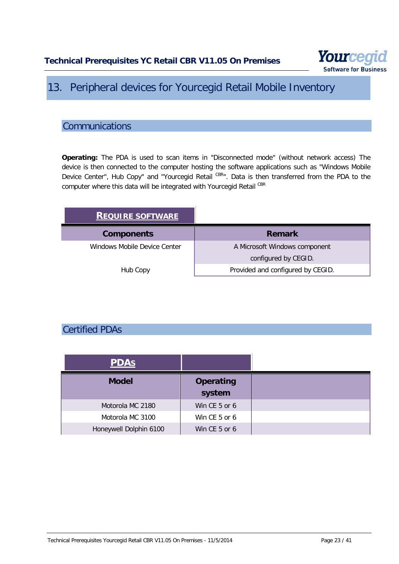

# <span id="page-22-0"></span>13. Peripheral devices for Yourcegid Retail Mobile Inventory

# <span id="page-22-1"></span>**Communications**

**Operating:** The PDA is used to scan items in "Disconnected mode" (without network access) The device is then connected to the computer hosting the software applications such as "Windows Mobile Device Center", Hub Copy" and "Yourcegid Retail CBR". Data is then transferred from the PDA to the computer where this data will be integrated with Yourcegid Retail CBR

| <b>REQUIRE SOFTWARE</b>      |                                   |
|------------------------------|-----------------------------------|
| <b>Components</b>            | <b>Remark</b>                     |
| Windows Mobile Device Center | A Microsoft Windows component     |
|                              | configured by CEGID.              |
| Hub Copy                     | Provided and configured by CEGID. |

# <span id="page-22-2"></span>Certified PDAs

| <b>PDAS</b>            |                            |
|------------------------|----------------------------|
| <b>Model</b>           | <b>Operating</b><br>system |
| Motorola MC 2180       | Win CE 5 or 6              |
| Motorola MC 3100       | Win CE 5 or 6              |
| Honeywell Dolphin 6100 | Win CE 5 or 6              |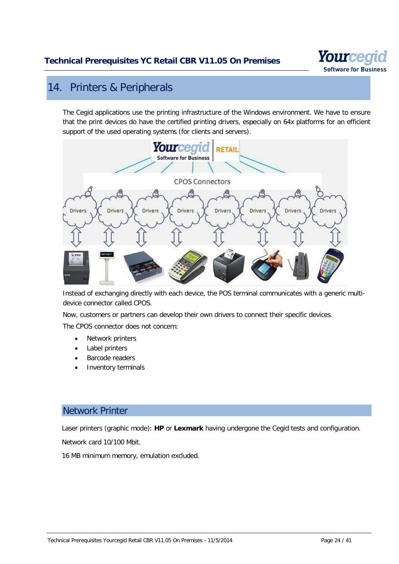

# <span id="page-23-0"></span>14. Printers & Peripherals

The Cegid applications use the printing infrastructure of the Windows environment. We have to ensure that the print devices do have the certified printing drivers, especially on 64x platforms for an efficient support of the used operating systems (for clients and servers).



Instead of exchanging directly with each device, the POS terminal communicates with a generic multidevice connector called CPOS.

Now, customers or partners can develop their own drivers to connect their specific devices.

The CPOS connector does not concern:

- Network printers
- Label printers
- Barcode readers
- Inventory terminals

### <span id="page-23-1"></span>Network Printer

Laser printers (graphic mode): **HP** or **Lexmark** having undergone the Cegid tests and configuration.

Network card 10/100 Mbit.

16 MB minimum memory, emulation excluded.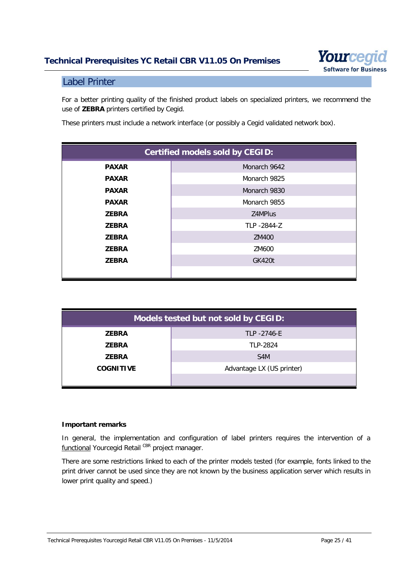

### <span id="page-24-0"></span>Label Printer

For a better printing quality of the finished product labels on specialized printers, we recommend the use of **ZEBRA** printers certified by Cegid.

These printers must include a network interface (or possibly a Cegid validated network box).

| <b>Certified models sold by CEGID:</b> |               |  |
|----------------------------------------|---------------|--|
| <b>PAXAR</b>                           | Monarch 9642  |  |
| <b>PAXAR</b>                           | Monarch 9825  |  |
| <b>PAXAR</b>                           | Monarch 9830  |  |
| <b>PAXAR</b>                           | Monarch 9855  |  |
| <b>ZEBRA</b>                           | Z4MPlus       |  |
| <b>ZEBRA</b>                           | TLP -2844-Z   |  |
| <b>ZEBRA</b>                           | ZM400         |  |
| <b>ZEBRA</b>                           | ZM600         |  |
| <b>ZEBRA</b>                           | <b>GK420t</b> |  |
|                                        |               |  |

| Models tested but not sold by CEGID: |                           |  |  |
|--------------------------------------|---------------------------|--|--|
| <b>ZEBRA</b>                         | TLP -2746-E               |  |  |
| <b>ZEBRA</b>                         | TLP-2824                  |  |  |
| <b>ZEBRA</b>                         | S <sub>4</sub> M          |  |  |
| <b>COGNITIVE</b>                     | Advantage LX (US printer) |  |  |
|                                      |                           |  |  |

#### **Important remarks**

In general, the implementation and configuration of label printers requires the intervention of a functional Yourcegid Retail CBR project manager.

There are some restrictions linked to each of the printer models tested (for example, fonts linked to the print driver cannot be used since they are not known by the business application server which results in lower print quality and speed.)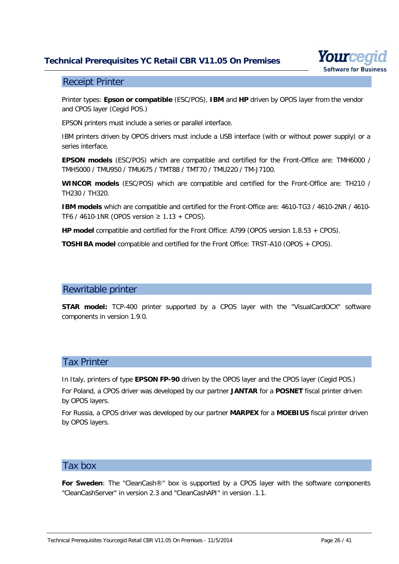

#### <span id="page-25-0"></span>Receipt Printer

Printer types: **Epson or compatible** (ESC/POS), **IBM** and **HP** driven by OPOS layer from the vendor and CPOS layer (Cegid POS.)

EPSON printers must include a series or parallel interface.

IBM printers driven by OPOS drivers must include a USB interface (with or without power supply) or a series interface.

**EPSON models** (ESC/POS) which are compatible and certified for the Front-Office are: TMH6000 / TMH5000 / TMU950 / TMU675 / TMT88 / TMT70 / TMU220 / TM-J7100.

**WINCOR models** (ESC/POS) which are compatible and certified for the Front-Office are: TH210 / TH230 / TH320.

**IBM models** which are compatible and certified for the Front-Office are: 4610-TG3 / 4610-2NR / 4610-TF6 / 4610-1NR (OPOS version ≥ 1.13 + CPOS).

**HP model** compatible and certified for the Front Office: A799 (OPOS version 1.8.53 + CPOS).

<span id="page-25-1"></span>**TOSHIBA model** compatible and certified for the Front Office: TRST-A10 (OPOS + CPOS).

#### Rewritable printer

**STAR model:** TCP-400 printer supported by a CPOS layer with the "VisualCardOCX" software components in version 1.9.0.

### <span id="page-25-2"></span>Tax Printer

In Italy, printers of type **EPSON FP-90** driven by the OPOS layer and the CPOS layer (Cegid POS.) For Poland, a CPOS driver was developed by our partner **JANTAR** for a **POSNET** fiscal printer driven by OPOS layers.

For Russia, a CPOS driver was developed by our partner **MARPEX** for a **MOEBIUS** fiscal printer driven by OPOS layers.

### <span id="page-25-3"></span>Tax box

**For Sweden**: The "CleanCash®" box is supported by a CPOS layer with the software components "CleanCashServer" in version 2.3 and "CleanCashAPI" in version .1.1.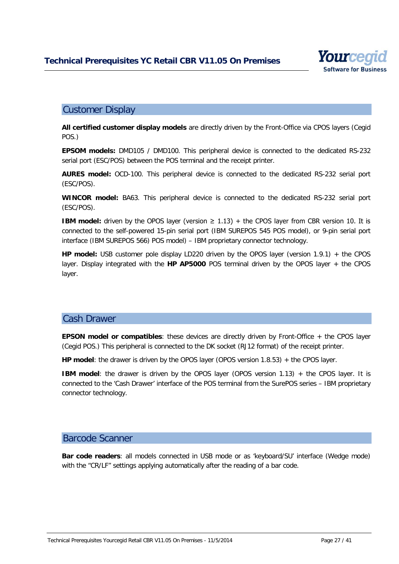

### <span id="page-26-0"></span>Customer Display

**All certified customer display models** are directly driven by the Front-Office via CPOS layers (Cegid POS.)

**EPSOM models:** DMD105 / DMD100. This peripheral device is connected to the dedicated RS-232 serial port (ESC/POS) between the POS terminal and the receipt printer.

**AURES model:** OCD-100. This peripheral device is connected to the dedicated RS-232 serial port (ESC/POS).

**WINCOR model:** BA63. This peripheral device is connected to the dedicated RS-232 serial port (ESC/POS).

**IBM model:** driven by the OPOS layer (version  $\geq 1.13$ ) + the CPOS layer from CBR version 10. It is connected to the self-powered 15-pin serial port (IBM SUREPOS 545 POS model), or 9-pin serial port interface (IBM SUREPOS 566) POS model) – IBM proprietary connector technology.

**HP model:** USB customer pole display LD220 driven by the OPOS layer (version 1.9.1) + the CPOS layer. Display integrated with the **HP AP5000** POS terminal driven by the OPOS layer + the CPOS layer.

### <span id="page-26-1"></span>Cash Drawer

**EPSON model or compatibles**: these devices are directly driven by Front-Office + the CPOS layer (Cegid POS.) This peripheral is connected to the DK socket (RJ12 format) of the receipt printer.

**HP model**: the drawer is driven by the OPOS layer (OPOS version 1.8.53) + the CPOS layer.

**IBM model:** the drawer is driven by the OPOS layer (OPOS version 1.13) + the CPOS layer. It is connected to the 'Cash Drawer' interface of the POS terminal from the SurePOS series – IBM proprietary connector technology.

#### <span id="page-26-2"></span>Barcode Scanner

**Bar code readers**: all models connected in USB mode or as 'keyboard/SU' interface (Wedge mode) with the "CR/LF" settings applying automatically after the reading of a bar code.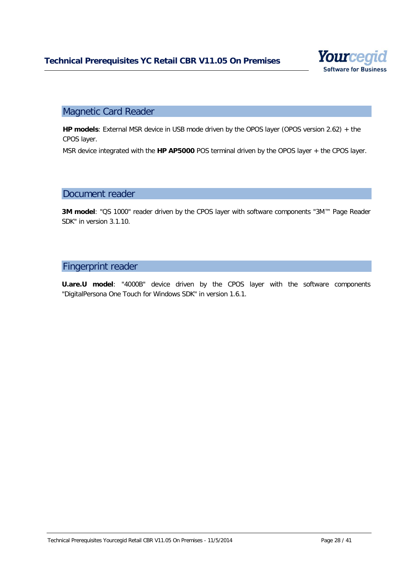

# <span id="page-27-0"></span>Magnetic Card Reader

**HP models**: External MSR device in USB mode driven by the OPOS layer (OPOS version 2.62) + the CPOS layer.

MSR device integrated with the **HP AP5000** POS terminal driven by the OPOS layer + the CPOS layer.

#### <span id="page-27-1"></span>Document reader

**3M model**: "QS 1000" reader driven by the CPOS layer with software components "3M™ Page Reader SDK" in version 3.1.10.

### <span id="page-27-2"></span>Fingerprint reader

**U.are.U model**: "4000B" device driven by the CPOS layer with the software components "DigitalPersona One Touch for Windows SDK" in version 1.6.1.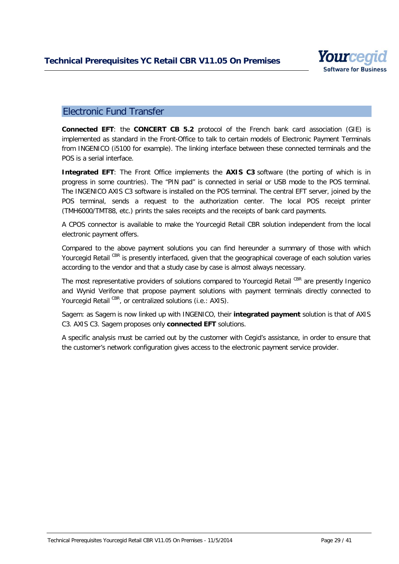

### <span id="page-28-0"></span>Electronic Fund Transfer

**Connected EFT**: the **CONCERT CB 5.2** protocol of the French bank card association (GIE) is implemented as standard in the Front-Office to talk to certain models of Electronic Payment Terminals from INGENICO (i5100 for example). The linking interface between these connected terminals and the POS is a serial interface.

**Integrated EFT**: The Front Office implements the **AXIS C3** software (the porting of which is in progress in some countries). The "PIN pad" is connected in serial or USB mode to the POS terminal. The INGENICO AXIS C3 software is installed on the POS terminal. The central EFT server, joined by the POS terminal, sends a request to the authorization center. The local POS receipt printer (TMH6000/TMT88, etc.) prints the sales receipts and the receipts of bank card payments.

A CPOS connector is available to make the Yourcegid Retail CBR solution independent from the local electronic payment offers.

Compared to the above payment solutions you can find hereunder a summary of those with which Yourcegid Retail CBR is presently interfaced, given that the geographical coverage of each solution varies according to the vendor and that a study case by case is almost always necessary.

The most representative providers of solutions compared to Yourcegid Retail CBR are presently Ingenico and Wynid Verifone that propose payment solutions with payment terminals directly connected to Yourcegid Retail CBR, or centralized solutions (i.e.: AXIS).

Sagem: as Sagem is now linked up with INGENICO, their **integrated payment** solution is that of AXIS C3. AXIS C3. Sagem proposes only **connected EFT** solutions.

A specific analysis must be carried out by the customer with Cegid's assistance, in order to ensure that the customer's network configuration gives access to the electronic payment service provider.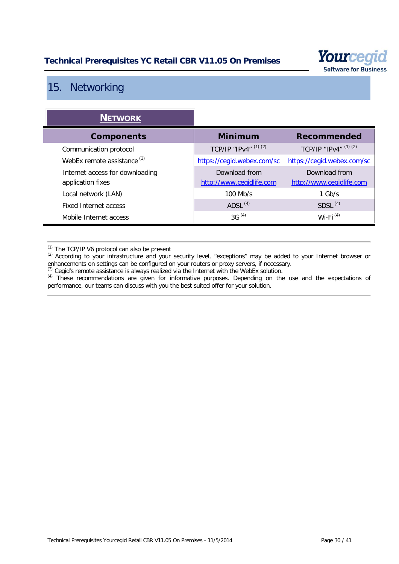

# <span id="page-29-0"></span>15. Networking

| <b>NETWORK</b>                                       |                                           |                                           |
|------------------------------------------------------|-------------------------------------------|-------------------------------------------|
| <b>Components</b>                                    | <b>Minimum</b>                            | <b>Recommended</b>                        |
| Communication protocol                               | TCP/IP "IPv4" $(1)$ $(2)$                 | TCP/IP "IPv4" (1) (2)                     |
| WebEx remote assistance <sup>(3)</sup>               | https://cegid.webex.com/sc                | https://cegid.webex.com/sc                |
| Internet access for downloading<br>application fixes | Download from<br>http://www.cegidlife.com | Download from<br>http://www.cegidlife.com |
| Local network (LAN)                                  | $100$ Mb/s                                | $1$ Gb/s                                  |
| <b>Fixed Internet access</b>                         | ADSL $(4)$                                | SDSL <sup>(4)</sup>                       |
| Mobile Internet access                               | $3G^{(4)}$                                | Wi-Fi $(4)$                               |

(1) The TCP/IP V6 protocol can also be present

 $(2)$  According to your infrastructure and your security level, "exceptions" may be added to your Internet browser or enhancements on settings can be configured on your routers or proxy servers, if necessary.

 $<sup>(3)</sup>$  Cegid's remote assistance is always realized via the Internet with the WebEx solution.</sup>

<sup>(4)</sup> These recommendations are given for informative purposes. Depending on the use and the expectations of performance, our teams can discuss with you the best suited offer for your solution.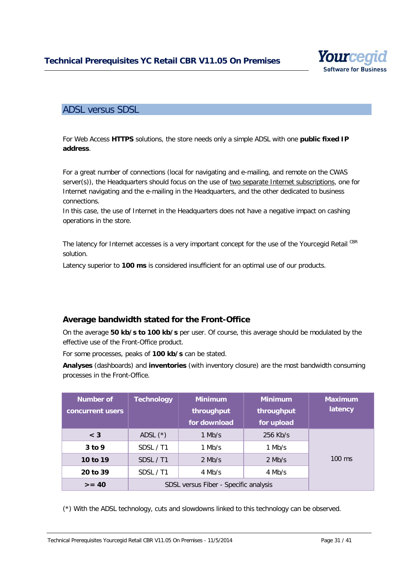

### <span id="page-30-0"></span>ADSL versus SDSL

For Web Access **HTTPS** solutions, the store needs only a simple ADSL with one **public fixed IP address**.

For a great number of connections (local for navigating and e-mailing, and remote on the CWAS server(s)), the Headquarters should focus on the use of two separate Internet subscriptions, one for Internet navigating and the e-mailing in the Headquarters, and the other dedicated to business connections.

In this case, the use of Internet in the Headquarters does not have a negative impact on cashing operations in the store.

The latency for Internet accesses is a very important concept for the use of the Yourcegid Retail CBR solution.

Latency superior to **100 ms** is considered insufficient for an optimal use of our products.

### <span id="page-30-1"></span>**Average bandwidth stated for the Front-Office**

On the average **50 kb/s to 100 kb/s** per user. Of course, this average should be modulated by the effective use of the Front-Office product.

For some processes, peaks of **100 kb/s** can be stated.

**Analyses** (dashboards) and **inventories** (with inventory closure) are the most bandwidth consuming processes in the Front-Office.

| <b>Number of</b><br>concurrent users | <b>Technology</b>                     | <b>Minimum</b><br>throughput<br>for download | <b>Minimum</b><br>throughput<br>for upload | <b>Maximum</b><br>latency |
|--------------------------------------|---------------------------------------|----------------------------------------------|--------------------------------------------|---------------------------|
| $\leq 3$                             | ADSL $(*)$                            | $1$ Mb/s                                     | $256$ Kb/s                                 |                           |
| $3$ to 9                             | SDSL / T1                             | $1$ Mb/s                                     | $1$ Mb/s                                   |                           |
| 10 to 19                             | SDSL / T1                             | $2$ Mb/s                                     | $2$ Mb/s                                   | $100 \text{ ms}$          |
| 20 to 39                             | SDSL / T1                             | $4$ Mb/s                                     | 4 Mb/s                                     |                           |
| $>= 40$                              | SDSL versus Fiber - Specific analysis |                                              |                                            |                           |

(\*) With the ADSL technology, cuts and slowdowns linked to this technology can be observed.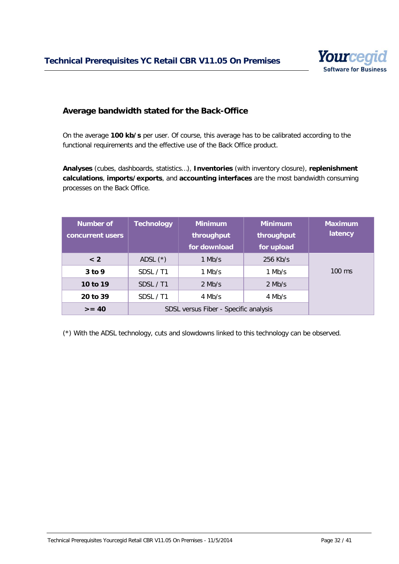

### <span id="page-31-0"></span>**Average bandwidth stated for the Back-Office**

On the average **100 kb/s** per user. Of course, this average has to be calibrated according to the functional requirements and the effective use of the Back Office product.

**Analyses** (cubes, dashboards, statistics…), **Inventories** (with inventory closure), **replenishment calculations**, **imports/exports**, and **accounting interfaces** are the most bandwidth consuming processes on the Back Office.

| <b>Number of</b><br>concurrent users | <b>Technology</b>                     | <b>Minimum</b><br>throughput | <b>Minimum</b><br>throughput | <b>Maximum</b><br>latency |
|--------------------------------------|---------------------------------------|------------------------------|------------------------------|---------------------------|
|                                      |                                       | for download                 | for upload                   |                           |
| < 2                                  | ADSL $(*)$                            | 1 Mb/s                       | $256$ Kb/s                   |                           |
| $3$ to 9                             | SDSL / T1                             | 1 Mb/s                       | $1$ Mb/s                     | $100 \text{ ms}$          |
| 10 to 19                             | SDSL / T1                             | $2$ Mb/s                     | $2$ Mb/s                     |                           |
| 20 to 39                             | SDSL / T1                             | 4 Mb/s                       | 4 Mb/s                       |                           |
| $>= 40$                              | SDSL versus Fiber - Specific analysis |                              |                              |                           |

(\*) With the ADSL technology, cuts and slowdowns linked to this technology can be observed.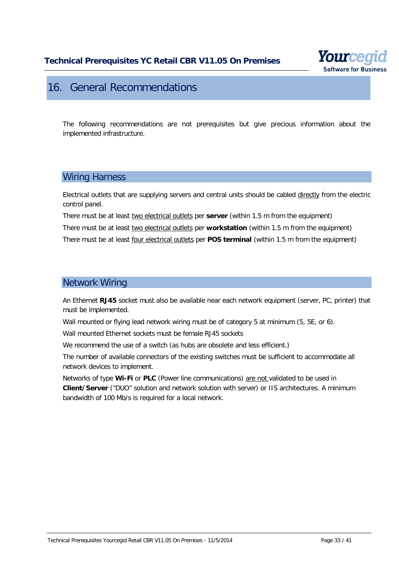

# <span id="page-32-0"></span>16. General Recommendations

The following recommendations are not prerequisites but give precious information about the implemented infrastructure.

### <span id="page-32-1"></span>Wiring Harness

Electrical outlets that are supplying servers and central units should be cabled directly from the electric control panel.

There must be at least two electrical outlets per **server** (within 1.5 m from the equipment) There must be at least two electrical outlets per **workstation** (within 1.5 m from the equipment) There must be at least four electrical outlets per **POS terminal** (within 1.5 m from the equipment)

### <span id="page-32-2"></span>Network Wiring

An Ethernet **RJ45** socket must also be available near each network equipment (server, PC, printer) that must be implemented.

Wall mounted or flying lead network wiring must be of category 5 at minimum (5, 5E, or 6).

Wall mounted Ethernet sockets must be female RJ45 sockets

We recommend the use of a switch (as hubs are obsolete and less efficient.)

The number of available connectors of the existing switches must be sufficient to accommodate all network devices to implement.

Networks of type **Wi-Fi** or **PLC** (Power line communications) are not validated to be used in **Client/Server** ("DUO" solution and network solution with server) or IIS architectures. A minimum bandwidth of 100 Mb/s is required for a local network.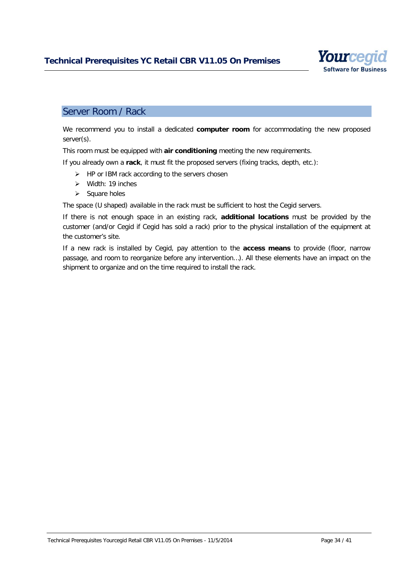

### <span id="page-33-0"></span>Server Room / Rack

We recommend you to install a dedicated **computer room** for accommodating the new proposed server(s).

This room must be equipped with **air conditioning** meeting the new requirements.

If you already own a **rack**, it must fit the proposed servers (fixing tracks, depth, etc.):

- $\triangleright$  HP or IBM rack according to the servers chosen
- $\triangleright$  Width: 19 inches
- $\triangleright$  Square holes

The space (U shaped) available in the rack must be sufficient to host the Cegid servers.

If there is not enough space in an existing rack, **additional locations** must be provided by the customer (and/or Cegid if Cegid has sold a rack) prior to the physical installation of the equipment at the customer's site.

If a new rack is installed by Cegid, pay attention to the **access means** to provide (floor, narrow passage, and room to reorganize before any intervention…). All these elements have an impact on the shipment to organize and on the time required to install the rack.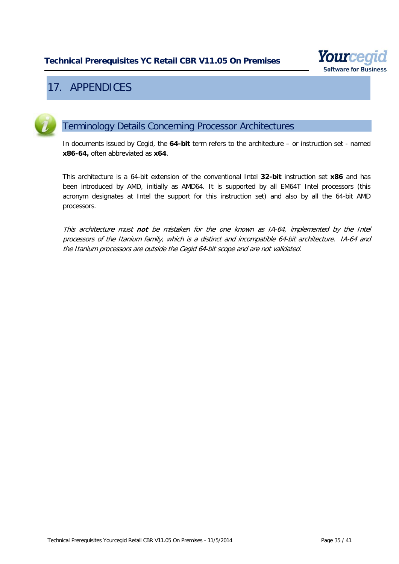

# <span id="page-34-0"></span>17. APPENDICES

<span id="page-34-1"></span>

# Terminology Details Concerning Processor Architectures

In documents issued by Cegid, the **64-bit** term refers to the architecture – or instruction set - named **x86-64,** often abbreviated as **x64**.

This architecture is a 64-bit extension of the conventional Intel **32-bit** instruction set **x86** and has been introduced by AMD, initially as AMD64. It is supported by all EM64T Intel processors (this acronym designates at Intel the support for this instruction set) and also by all the 64-bit AMD processors.

This architecture must not be mistaken for the one known as IA-64, implemented by the Intel processors of the Itanium family, which is a distinct and incompatible 64-bit architecture. IA-64 and the Itanium processors are outside the Cegid 64-bit scope and are not validated.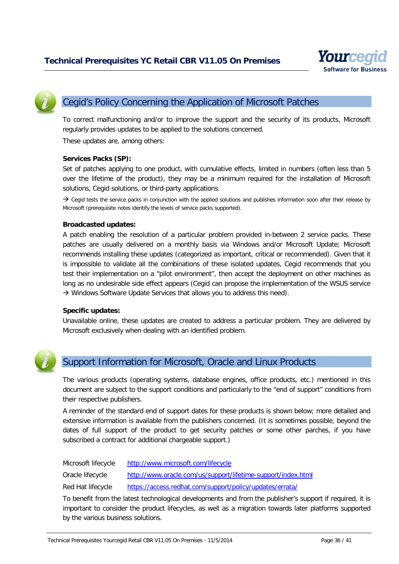

<span id="page-35-0"></span>

# Cegid's Policy Concerning the Application of Microsoft Patches

To correct malfunctioning and/or to improve the support and the security of its products, Microsoft regularly provides updates to be applied to the solutions concerned.

These updates are, among others:

#### **Services Packs (SP):**

Set of patches applying to one product, with cumulative effects, limited in numbers (often less than 5 over the lifetime of the product), they may be a minimum required for the installation of Microsoft solutions, Cegid solutions, or third-party applications.

 $\rightarrow$  Cegid tests the service packs in conjunction with the applied solutions and publishes information soon after their release by Microsoft (prerequisite notes identify the levels of service packs supported).

#### **Broadcasted updates:**

A patch enabling the resolution of a particular problem provided in-between 2 service packs. These patches are usually delivered on a monthly basis via Windows and/or Microsoft Update; Microsoft recommends installing these updates (categorized as important, critical or recommended). Given that it is impossible to validate all the combinations of these isolated updates, Cegid recommends that you test their implementation on a "pilot environment", then accept the deployment on other machines as long as no undesirable side effect appears (Cegid can propose the implementation of the WSUS service  $\rightarrow$  Windows Software Update Services that allows you to address this need).

#### **Specific updates:**

Unavailable online, these updates are created to address a particular problem. They are delivered by Microsoft exclusively when dealing with an identified problem.

<span id="page-35-1"></span>

### Support Information for Microsoft, Oracle and Linux Products

The various products (operating systems, database engines, office products, etc.) mentioned in this document are subject to the support conditions and particularly to the "end of support" conditions from their respective publishers.

A reminder of the standard end of support dates for these products is shown below; more detailed and extensive information is available from the publishers concerned. (It is sometimes possible, beyond the dates of full support of the product to get security patches or some other parches, if you have subscribed a contract for additional chargeable support.)

Microsoft lifecycle <http://www.microsoft.com/lifecycle>

Oracle lifecycle <http://www.oracle.com/us/support/lifetime-support/index.html>

Red Hat lifecycle <https://access.redhat.com/support/policy/updates/errata/>

To benefit from the latest technological developments and from the publisher's support if required, it is important to consider the product lifecycles, as well as a migration towards later platforms supported by the various business solutions.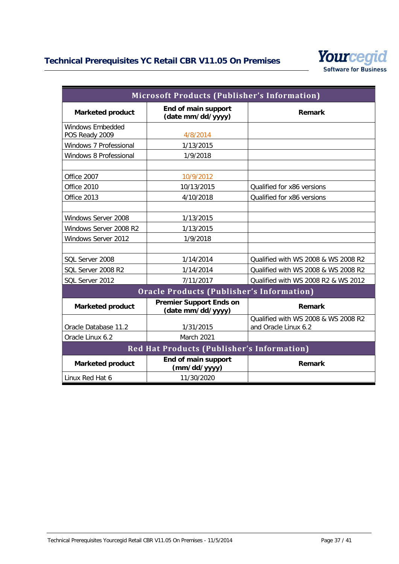

| <b>Microsoft Products (Publisher's Information)</b> |                                                     |                                                             |  |  |
|-----------------------------------------------------|-----------------------------------------------------|-------------------------------------------------------------|--|--|
| <b>Marketed product</b>                             | End of main support<br>(date mm/dd/yyyy)            | Remark                                                      |  |  |
| <b>Windows Embedded</b><br>POS Ready 2009           | 4/8/2014                                            |                                                             |  |  |
| Windows 7 Professional                              | 1/13/2015                                           |                                                             |  |  |
| Windows 8 Professional                              | 1/9/2018                                            |                                                             |  |  |
| Office 2007                                         | 10/9/2012                                           |                                                             |  |  |
| Office 2010                                         | 10/13/2015                                          | Qualified for x86 versions                                  |  |  |
| Office 2013                                         | 4/10/2018                                           | Qualified for x86 versions                                  |  |  |
|                                                     |                                                     |                                                             |  |  |
| Windows Server 2008                                 | 1/13/2015                                           |                                                             |  |  |
| Windows Server 2008 R2                              | 1/13/2015                                           |                                                             |  |  |
| Windows Server 2012                                 | 1/9/2018                                            |                                                             |  |  |
|                                                     |                                                     |                                                             |  |  |
| SQL Server 2008                                     | 1/14/2014                                           | Qualified with WS 2008 & WS 2008 R2                         |  |  |
| SQL Server 2008 R2                                  | 1/14/2014                                           | Qualified with WS 2008 & WS 2008 R2                         |  |  |
| SQL Server 2012                                     | 7/11/2017                                           | Qualified with WS 2008 R2 & WS 2012                         |  |  |
| <b>Oracle Products (Publisher's Information)</b>    |                                                     |                                                             |  |  |
| <b>Marketed product</b>                             | <b>Premier Support Ends on</b><br>(date mm/dd/yyyy) | Remark                                                      |  |  |
| Oracle Database 11.2                                | 1/31/2015                                           | Qualified with WS 2008 & WS 2008 R2<br>and Oracle Linux 6.2 |  |  |
| Oracle Linux 6.2                                    | March 2021                                          |                                                             |  |  |
| <b>Red Hat Products (Publisher's Information)</b>   |                                                     |                                                             |  |  |
| <b>Marketed product</b>                             | End of main support<br>(mm/dd/yyyy)                 | Remark                                                      |  |  |
| Linux Red Hat 6                                     | 11/30/2020                                          |                                                             |  |  |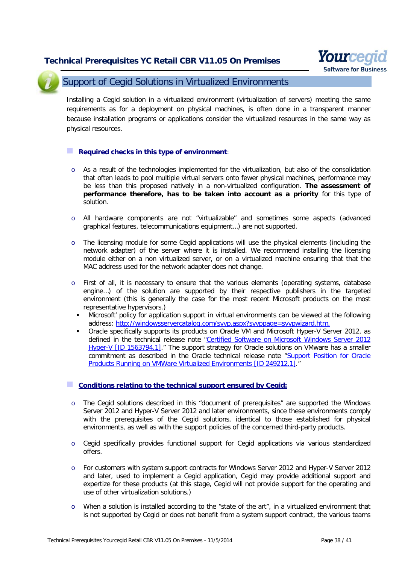

<span id="page-37-0"></span>

### Support of Cegid Solutions in Virtualized Environments

Installing a Cegid solution in a virtualized environment (virtualization of servers) meeting the same requirements as for a deployment on physical machines, is often done in a transparent manner because installation programs or applications consider the virtualized resources in the same way as physical resources.

#### **Required checks in this type of environment**:

- o As a result of the technologies implemented for the virtualization, but also of the consolidation that often leads to pool multiple virtual servers onto fewer physical machines, performance may be less than this proposed natively in a non-virtualized configuration. **The assessment of performance therefore, has to be taken into account as a priority** for this type of solution.
- o All hardware components are not "virtualizable" and sometimes some aspects (advanced graphical features, telecommunications equipment…) are not supported.
- o The licensing module for some Cegid applications will use the physical elements (including the network adapter) of the server where it is installed. We recommend installing the licensing module either on a non virtualized server, or on a virtualized machine ensuring that that the MAC address used for the network adapter does not change.
- o First of all, it is necessary to ensure that the various elements (operating systems, database engine…) of the solution are supported by their respective publishers in the targeted environment (this is generally the case for the most recent Microsoft products on the most representative hypervisors.)
	- Microsoft' policy for application support in virtual environments can be viewed at the following address: [http://windowsservercatalog.com/svvp.aspx?svvppage=svvpwizard.htm.](http://windowsservercatalog.com/svvp.aspx?svvppage=svvpwizard.htm)
	- Oracle specifically supports its products on Oracle VM and Microsoft Hyper-V Server 2012, as defined in the technical release note "Certified Software on Microsoft Windows Server 2012 [Hyper-V \[ID 1563794.1\].](https://support.oracle.com/epmos/faces/DocumentDisplay?id=1563794.1)" The support strategy for Oracle solutions on VMware has a smaller commitment as described in the Oracle technical release note ["Support Position for Oracle](https://support.oracle.com/CSP/main/article?cmd=show&type=NOT&id=249212.1)  [Products Running on VMWare Virtualized Environments \[ID 249212.1\].](https://support.oracle.com/CSP/main/article?cmd=show&type=NOT&id=249212.1)"

#### **Conditions relating to the technical support ensured by Cegid:**

- o The Cegid solutions described in this "document of prerequisites" are supported the Windows Server 2012 and Hyper-V Server 2012 and later environments, since these environments comply with the prerequisites of the Cegid solutions, identical to those established for physical environments, as well as with the support policies of the concerned third-party products.
- o Cegid specifically provides functional support for Cegid applications via various standardized offers.
- o For customers with system support contracts for Windows Server 2012 and Hyper-V Server 2012 and later, used to implement a Cegid application, Cegid may provide additional support and expertize for these products (at this stage, Cegid will not provide support for the operating and use of other virtualization solutions.)
- o When a solution is installed according to the "state of the art", in a virtualized environment that is not supported by Cegid or does not benefit from a system support contract, the various teams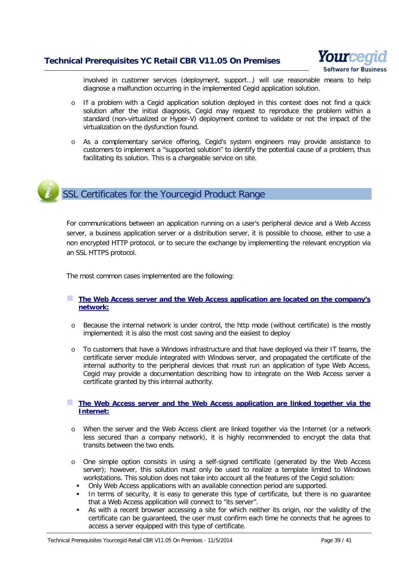

**Software for Busines** 

involved in customer services (deployment, support…) will use reasonable means to help diagnose a malfunction occurring in the implemented Cegid application solution.

- If a problem with a Cegid application solution deployed in this context does not find a quick solution after the initial diagnosis, Cegid may request to reproduce the problem within a standard (non-virtualized or Hyper-V) deployment context to validate or not the impact of the virtualization on the dysfunction found.
- o As a complementary service offering, Cegid's system engineers may provide assistance to customers to implement a "supported solution" to identify the potential cause of a problem, thus facilitating its solution. This is a chargeable service on site.

# <span id="page-38-0"></span>SSL Certificates for the Yourcegid Product Range

For communications between an application running on a user's peripheral device and a Web Access server, a business application server or a distribution server, it is possible to choose, either to use a non encrypted HTTP protocol, or to secure the exchange by implementing the relevant encryption via an SSL HTTPS protocol.

The most common cases implemented are the following:

#### **The Web Access server and the Web Access application are located on the company's network:**

- o Because the internal network is under control, the http mode (without certificate) is the mostly implemented; it is also the most cost saving and the easiest to deploy
- o To customers that have a Windows infrastructure and that have deployed via their IT teams, the certificate server module integrated with Windows server, and propagated the certificate of the internal authority to the peripheral devices that must run an application of type Web Access, Cegid may provide a documentation describing how to integrate on the Web Access server a certificate granted by this internal authority.

#### **The Web Access server and the Web Access application are linked together via the Internet:**

- o When the server and the Web Access client are linked together via the Internet (or a network less secured than a company network), it is highly recommended to encrypt the data that transits between the two ends.
- o One simple option consists in using a self-signed certificate (generated by the Web Access server); however, this solution must only be used to realize a template limited to Windows workstations. This solution does not take into account all the features of the Cegid solution:
	- Only Web Access applications with an available connection period are supported.
	- In terms of security, it is easy to generate this type of certificate, but there is no guarantee that a Web Access application will connect to "its server".
	- As with a recent browser accessing a site for which neither its origin, nor the validity of the certificate can be guaranteed, the user must confirm each time he connects that he agrees to access a server equipped with this type of certificate.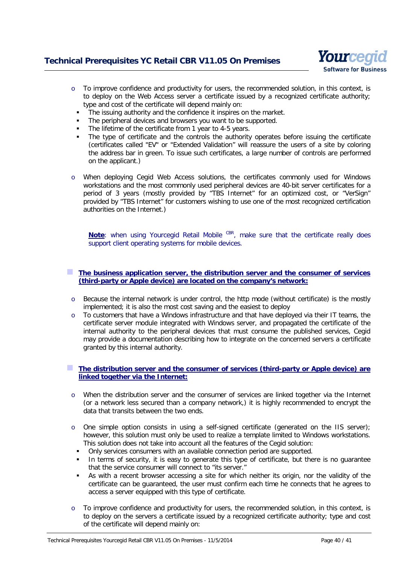

- $\circ$  To improve confidence and productivity for users, the recommended solution, in this context, is to deploy on the Web Access server a certificate issued by a recognized certificate authority; type and cost of the certificate will depend mainly on:
	- The issuing authority and the confidence it inspires on the market.
	- The peripheral devices and browsers you want to be supported.
	- The lifetime of the certificate from 1 year to 4-5 years.
	- The type of certificate and the controls the authority operates before issuing the certificate (certificates called "EV" or "Extended Validation" will reassure the users of a site by coloring the address bar in green. To issue such certificates, a large number of controls are performed on the applicant.)
- o When deploying Cegid Web Access solutions, the certificates commonly used for Windows workstations and the most commonly used peripheral devices are 40-bit server certificates for a period of 3 years (mostly provided by "TBS Internet" for an optimized cost, or "VerSign" provided by "TBS Internet" for customers wishing to use one of the most recognized certification authorities on the Internet.)

Note: when using Yourcegid Retail Mobile CBR, make sure that the certificate really does support client operating systems for mobile devices.

#### **The business application server, the distribution server and the consumer of services (third-party or Apple device) are located on the company's network:**

- o Because the internal network is under control, the http mode (without certificate) is the mostly implemented; it is also the most cost saving and the easiest to deploy
- o To customers that have a Windows infrastructure and that have deployed via their IT teams, the certificate server module integrated with Windows server, and propagated the certificate of the internal authority to the peripheral devices that must consume the published services, Cegid may provide a documentation describing how to integrate on the concerned servers a certificate granted by this internal authority.

#### **The distribution server and the consumer of services (third-party or Apple device) are linked together via the Internet:**

- o When the distribution server and the consumer of services are linked together via the Internet (or a network less secured than a company network,) it is highly recommended to encrypt the data that transits between the two ends.
- $\circ$  One simple option consists in using a self-signed certificate (generated on the IIS server); however, this solution must only be used to realize a template limited to Windows workstations. This solution does not take into account all the features of the Cegid solution:
	- Only services consumers with an available connection period are supported.
	- In terms of security, it is easy to generate this type of certificate, but there is no guarantee that the service consumer will connect to "its server."
	- As with a recent browser accessing a site for which neither its origin, nor the validity of the certificate can be guaranteed, the user must confirm each time he connects that he agrees to access a server equipped with this type of certificate.
- o To improve confidence and productivity for users, the recommended solution, in this context, is to deploy on the servers a certificate issued by a recognized certificate authority; type and cost of the certificate will depend mainly on: